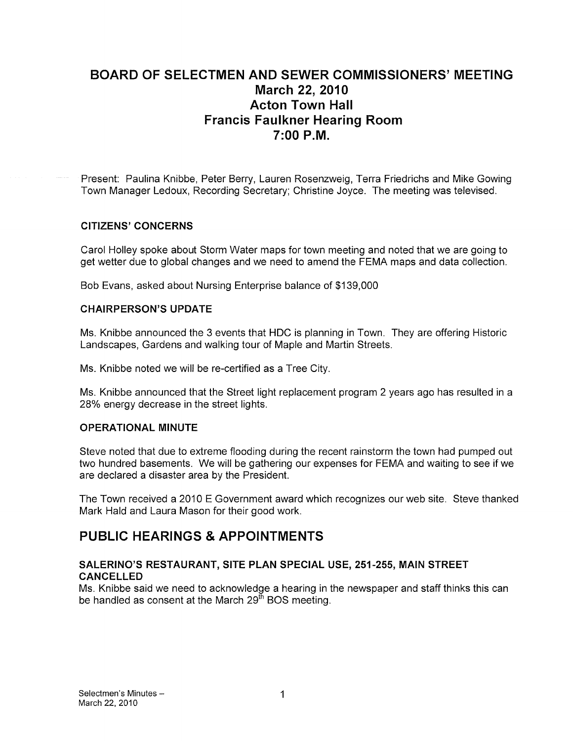# BOARD OF SELECTMEN AND SEWER COMMISSIONERS' MEETING March 22, 2010 Acton Town Hall **Francis Faulkner Hearing Room** 7:00 P.M.

Present: Paulina Knibbe, Peter Berry, Lauren Rosenzweig, Terra Friedrichs and Mike Gowing Town Manager Ledoux, Recording Secretary; Christine Joyce. The meeting was televised.

### CITIZENS' CONCERNS

Carol Holley spoke about Storm Water maps for town meeting and noted that we are going to get wetter due to global changes and we need to amend the FEMA maps and data collection.

Bob Evans, asked about Nursing Enterprise balance of \$139,000

#### CHAIRPERSON'S UPDATE

Ms. Knibbe announced the 3 events that HDC is planning in Town. They are offering Historic Landscapes, Gardens and walking tour of Maple and Martin Streets.

Ms. Knibbe noted we will be re-certified as a Tree City.

Ms. Knibbe announced that the Street light replacement program 2 years ago has resulted in a 28% energy decrease in the street lights.

#### OPERATIONAL MINUTE

Steve noted that due to extreme flooding during the recent rainstorm the town had pumped out two hundred basements. We will be gathering our expenses for FEMA and waiting to see if we are declared a disaster area by the President.

The Town received a 2010 E Government award which recognizes our web site. Steve thanked Mark Hald and Laura Mason for their good work.

# PUBLIC HEARINGS & APPOINTMENTS

### SALERINO'S RESTAURANT, SITE PLAN SPECIAL USE, 251 -255, MAIN STREET CANCELLED

Ms. Knibbe said we need to acknowledge a hearing in the newspaper and staff thinks this can be handled as consent at the March  $29<sup>th</sup>$  BOS meeting.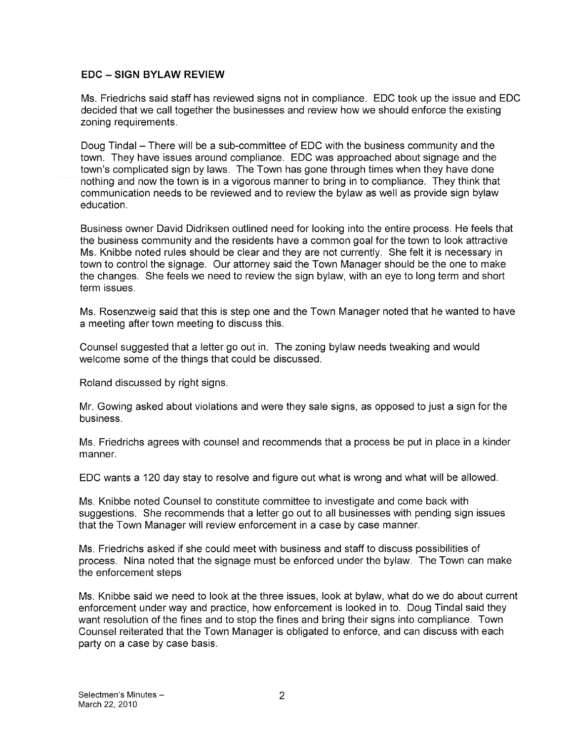#### EDC -SIGN BYLAW REVIEW

Ms. Friedrichs said staff has reviewed signs not in compliance. EDO took up the issue and EDO decided that we call together the businesses and review how we should enforce the existing zoning requirements.

Doug Tindal — There will be a sub-committee of EDO with the business community and the town. They have issues around compliance. EDO was approached about signage and the town's complicated sign by laws. The Town has gone through times when they have done nothing and now the town is in a vigorous manner to bring in to compliance. They think that communication needs to be reviewed and to review the bylaw as well as provide sign bylaw education.

Business owner David Didriksen outlined need for looking into the entire process. He feels that the business community and the residents have a common goal for the town to look attractive Ms. Knibbe noted rules should be clear and they are not currently. She felt it is necessary in town to control the signage. Our attorney said the Town Manager should be the one to make the changes. She feels we need to review the sign bylaw, with an eye to long term and short term issues.

Ms. Rosenzweig said that this is step one and the Town Manager noted that he wanted to have a meeting after town meeting to discuss this.

Oounsel suggested that a letter go out in. The zoning bylaw needs tweaking and would welcome some of the things that could be discussed.

Roland discussed by right signs.

Mr. Gowing asked about violations and were they sale signs, as opposed to just a sign for the business.

Ms. Friedrichs agrees with counsel and recommends that a process be put in place in a kinder manner.

EDO wants a 120 day stay to resolve and figure out what is wrong and what will be allowed.

Ms. Knibbe noted Oounsel to constitute committee to investigate and come back with suggestions. She recommends that a letter go out to all businesses with pending sign issues that the Town Manager will review enforcement in a case by case manner.

Ms. Friedrichs asked if she could meet with business and staff to discuss possibilities of process. Nina noted that the signage must be enforced under the bylaw. The Town can make the enforcement steps

Ms. Knibbe said we need to look at the three issues, look at bylaw, what do we do about current enforcement under way and practice, how enforcement is looked in to. Doug Tindal said they want resolution of the fines and to stop the fines and bring their signs into compliance. Town Oounsel reiterated that the Town Manager is obligated to enforce, and can discuss with each party on a case by case basis.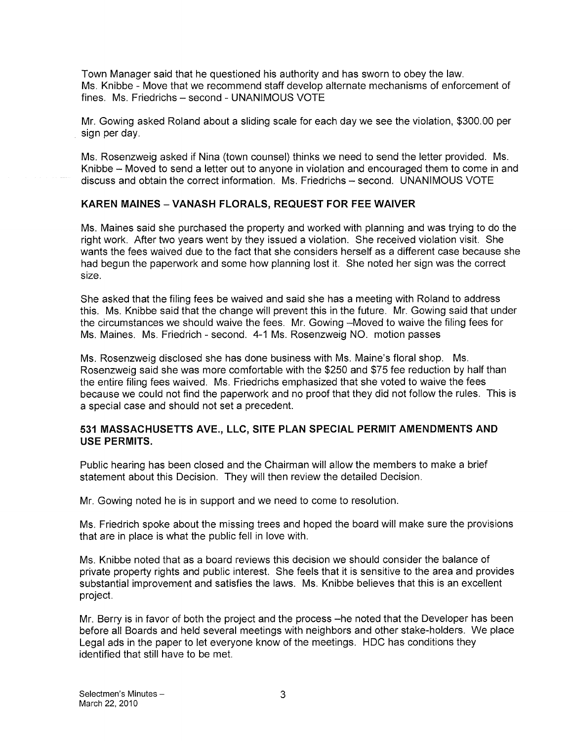Town Manager said that he questioned his authority and has sworn to obey the law. Ms. Knibbe - Move that we recommend staff develop alternate mechanisms of enforcement of fines. Ms. Friedrichs — second - UNANIMOUS VOTE

Mr. Gowing asked Roland about a sliding scale for each day we see the violation, \$300.00 per sign per day.

Ms. Rosenzweig asked if Nina (town counsel) thinks we need to send the letter provided. Ms. Knibbe — Moved to send a letter out to anyone in violation and encouraged them to come in and discuss and obtain the correct information. Ms. Friedrichs — second. UNANIMOUS VOTE

### KAREN MAINES -VANASH FLORALS, REQUEST FOR FEE WAIVER

Ms. Maines said she purchased the property and worked with planning and was trying to do the right work. After two years went by they issued a violation. She received violation visit. She wants the fees waived due to the fact that she considers herself as a different case because she had begun the paperwork and some how planning lost it. She noted her sign was the correct size.

She asked that the filing fees be waived and said she has a meeting with Roland to address this. Ms. Knibbe said that the change will prevent this in the future. Mr. Gowing said that under the circumstances we should waive the fees. Mr. Gowing —Moved to waive the filing fees for Ms. Maines. Ms. Friedrich - second. 4-1 Ms. Rosenzweig NO. motion passes

Ms. Rosenzweig disclosed she has done business with Ms. Maine's floral shop. Ms. Rosenzweig said she was more comfortable with the \$250 and \$75 fee reduction by half than the entire filing fees waived. Ms. Friedrichs emphasized that she voted to waive the fees because we could not find the paperwork and no proof that they did not follow the rules. This is a special case and should not set a precedent.

### 531 MASSACHUSETTS AyE, LLC, SITE PLAN SPECIAL PERMIT AMENDMENTS AND USE PERMITS.

Public hearing has been closed and the Chairman will allow the members to make a brief statement about this Decision. They will then review the detailed Decision.

Mr. Gowing noted he is in support and we need to come to resolution.

Ms. Friedrich spoke about the missing trees and hoped the board will make sure the provisions that are in place is what the public fell in love with.

Ms. Knibbe noted that as a board reviews this decision we should consider the balance of private property rights and public interest. She feels that it is sensitive to the area and provides substantial improvement and satisfies the laws. Ms. Knibbe believes that this is an excellent project.

Mr. Berry is in favor of both the project and the process —he noted that the Developer has been before all Boards and held several meetings with neighbors and other stake-holders. We place Legal ads in the paper to let everyone know of the meetings. HDC has conditions they identified that still have to be met.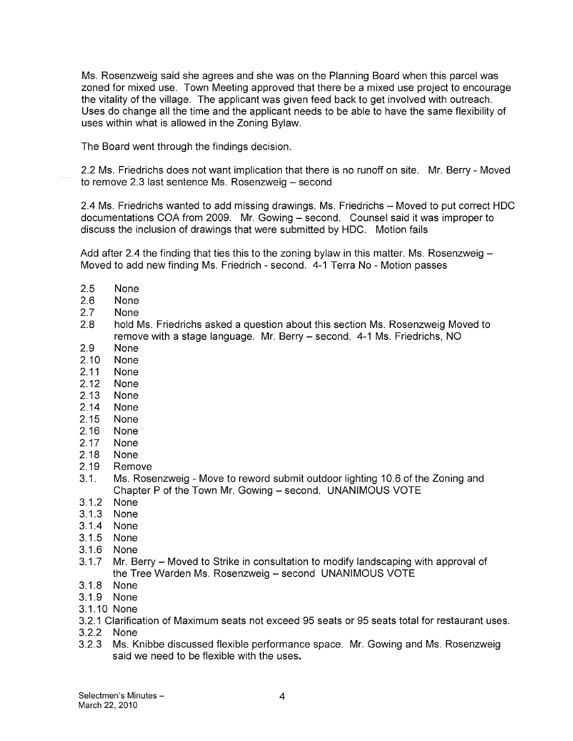Ms. Rosenzweig said she agrees and she was on the Planning Board when this parcel was zoned for mixed use. Town Meeting approved that there be a mixed use project to encourage the vitality of the village. The applicant was given feed back to get involved with outreach. Uses do change all the time and the applicant needs to be able to have the same flexibility of uses within what is allowed in the Zoning Bylaw.

The Board went through the findings decision.

2.2 Ms. Friedrichs does not want implication that there is no runoff on site. Mr. Berry - Moved to remove 2.3 last sentence Ms. Rosenzweig — second

2.4 Ms. Friedrichs wanted to add missing drawings. Ms. Friedrichs — Moved to put correct HDC documentations COA from 2009. Mr. Gowing — second. Counsel said it was improper to discuss the inclusion of drawings that were submitted by HDC. Motion fails

Add after 2.4 the finding that ties this to the zoning bylaw in this matter. Ms. Rosenzweig — Moved to add new finding Ms. Friedrich - second. 4-1 Terra No - Motion passes

- 2.5 None
- 2.6 None
- 2.7 None
- 2.8 hold Ms. Friedrichs asked a question about this section Ms. Rosenzweig Moved to remove with a stage language. Mr. Berry — second. 4-1 Ms. Friedrichs, NO
- 2.9 None
- 2.10 None
- 2.11 None
- 2.12 None
- 2.13 None
- 2.14 None
- 2.15 None
- 2.16 None
- 2.17 None
- 2.18 None
- 2.19 Remove
- 3.1. Ms. Rosenzweig Move to reword submit outdoor lighting 10.6 of the Zoning and Chapter P of the Town Mr. Gowing — second. UNANIMOUS VOTE
- 3.1.2 None
- 3.1.3 None
- 3.1.4 None
- 3.1.5 None
- 3.1.6 None
- 3.1.7 Mr. Berry Moved to Strike in consultation to modify landscaping with approval of the Tree Warden Ms. Rosenzweig — second UNANIMOUS VOTE
- 3.1.8 None
- 3.1.9 None
- 3.1.10 None
- 3.2.1 Clarification of Maximum seats not exceed 95 seats or 95 seats total for restaurant uses.
- 3.2.2 None
- 3.2.3 Ms. Knibbe discussed flexible performance space. Mr. Gowing and Ms. Rosenzweig said we need to be flexible with the uses.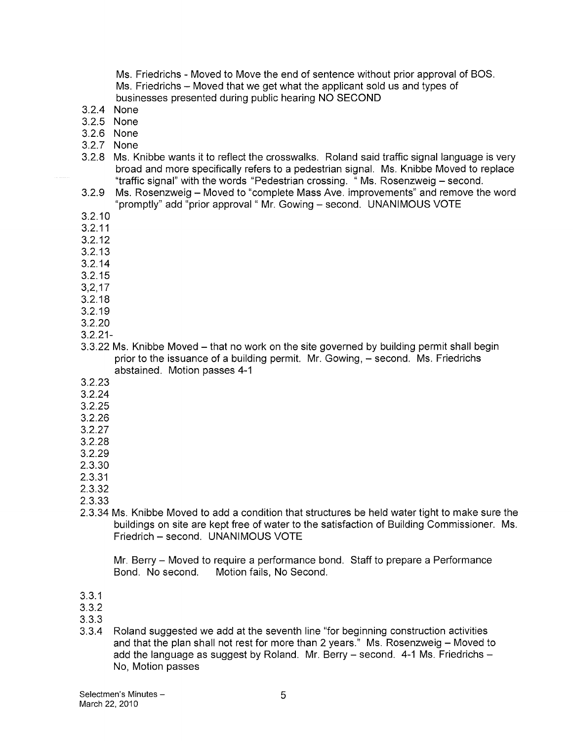Ms. Friedrichs - Moved to Move the end of sentence without prior approval of BOS. Ms. Friedrichs — Moved that we get what the applicant sold us and types of businesses presented during public hearing NO SECOND

- 3.2.4 None
- 3.2.5 None
- 3.2.6 None
- 3.2.7 None
- 3.2.8 Ms. Knibbe wants it to reflect the crosswalks. Roland said traffic signal language is very broad and more specifically refers to a pedestrian signal. Ms. Knibbe Moved to replace "traffic signal' with the words "Pedestrian crossing. " Ms. Rosenzweig — second.
- 3.2.9 Ms. Rosenzweig Moved to "complete Mass Ave. improvements" and remove the word "promptly" add "prior approval" Mr. Gowing — second. UNANIMOUS VOTE
- 3.2.10
- 3.2.11
- 3.2.12
- 3.2.13
- 3.2.14
- 3.2.15
- 3,2,17
- 3.2.18
- 3.2.19
- 3.2.20
- 3.2.21-
- 3.3.22 Ms. Knibbe Moved that no work on the site governed by building permit shall begin prior to the issuance of a building permit. Mr. Gowing, — second. Ms. Friedrichs abstained. Motion passes 4-1
- 3.2.23
- 3.2.24
- 3.2.25
- 3.2.26
- 3.2.27
- 3.2.28
- 3.2.29
- 2.3.30
- 2.3.31
- 2.3.32
- 2.3.33
- 2.3.34 Ms. Knibbe Moved to add a condition that structures be held water tight to make sure the buildings on site are kept free of water to the satisfaction of Building Commissioner. Ms. Friedrich — second. UNANIMOUS VOTE

Mr. Berry — Moved to require a performance bond. Staff to prepare a Performance Bond. No second. Motion fails, No Second.

3.3.1

3.3.2

- 3.3.3
- 3.3.4 Roland suggested we add at the seventh line "for beginning construction activities and that the plan shall not rest for more than 2 years." Ms. Rosenzweig — Moved to add the language as suggest by Roland. Mr. Berry — second. 4-1 Ms. Friedrichs — No, Motion passes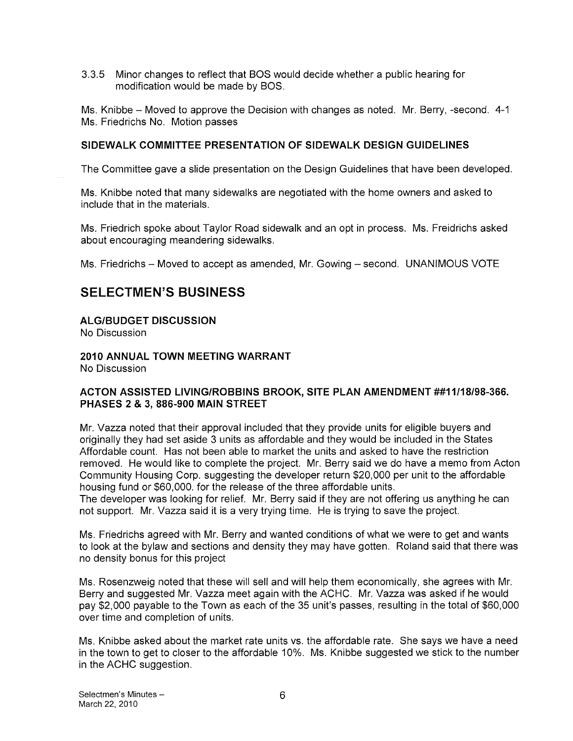3.3.5 Minor changes to reflect that BOS would decide whether a public hearing for modification would be made by BOS.

Ms. Knibbe — Moved to approve the Decision with changes as noted. Mr. Berry, -second. 4-1 Ms. Friedrichs No. Motion passes

### SIDEWALK COMMITTEE PRESENTATION OF SIDEWALK DESIGN GUIDELINES

The Committee gave a slide presentation on the Design Guidelines that have been developed.

Ms. Knibbe noted that many sidewalks are negotiated with the home owners and asked to include that in the materials.

Ms. Friedrich spoke about Taylor Road sidewalk and an opt in process. Ms. Freidrichs asked about encouraging meandering sidewalks.

Ms. Friedrichs — Moved to accept as amended, Mr. Gowing — second. UNANIMOUS VOTE

# SELECTMEN'S BUSINESS

### ALGIBUDGET DISCUSSION

No Discussion

# 2010 ANNUAL TOWN MEETING WARRANT

No Discussion

### ACTON ASSISTED LIVING/ROBBINS BROOK, SITE PLAN AMENDMENT ##11/18/98-366. PHASES 2 & 3, 886-900 MAIN STREET

Mr. Vazza noted that their approval included that they provide units for eligible buyers and originally they had set aside 3 units as affordable and they would be included in the States Affordable count. Has not been able to market the units and asked to have the restriction removed. He would like to complete the project. Mr. Berry said we do have a memo from Acton Community Housing Corp. suggesting the developer return \$20,000 per unit to the affordable housing fund or \$60,000. for the release of the three affordable units.

The developer was looking for relief. Mr. Berry said if they are not offering us anything he can not support. Mr. Vazza said it is a very trying time. He is trying to save the project.

Ms. Friedrichs agreed with Mr. Berry and wanted conditions of what we were to get and wants to look at the bylaw and sections and density they may have gotten. Roland said that there was no density bonus for this project

Ms. Rosenzweig noted that these will sell and will help them economically, she agrees with Mr. Berry and suggested Mr. Vazza meet again with the ACHC. Mr. Vazza was asked if he would pay \$2,000 payable to the Town as each of the 35 unit's passes, resulting in the total of \$60,000 over time and completion of units.

Ms. Knibbe asked about the market rate units vs. the affordable rate. She says we have a need in the town to get to closer to the affordable 10%. Ms. Knibbe suggested we stick to the number in the ACHC suggestion.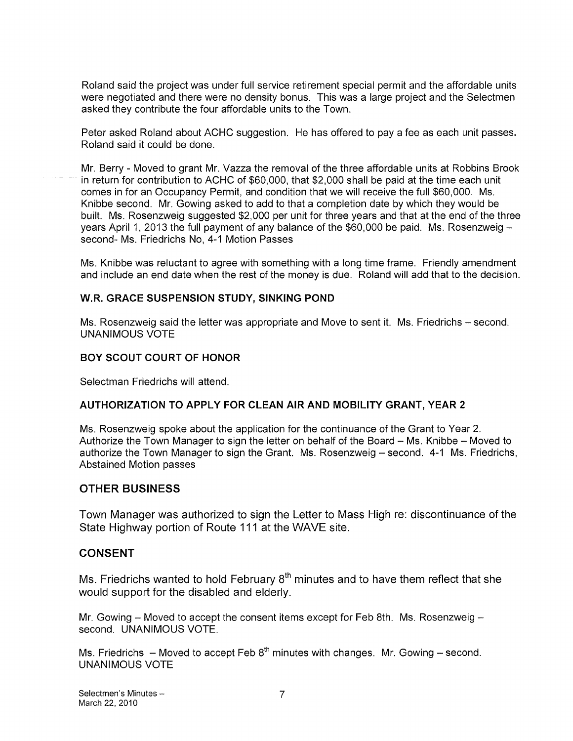Roland said the project was under full service retirement special permit and the affordable units were negotiated and there were no density bonus. This was a large project and the Selectmen asked they contribute the four affordable units to the Town.

Peter asked Roland about ACHC suggestion. He has offered to pay a fee as each unit passes. Roland said it could be done.

Mr. Berry -Moved to grant Mr. Vazza the removal of the three affordable units at Robbins Brook in return for contribution to ACHC of \$60,000, that \$2,000 shall be paid at the time each unit comes in for an Occupancy Permit, and condition that we will receive the full \$60,000. Ms. Knibbe second. Mr. Gowing asked to add to that a completion date by which they would be built. Ms. Rosenzweig suggested \$2,000 per unit for three years and that at the end of the three years April 1, 2013 the full payment of any balance of the \$60,000 be paid. Ms. Rosenzweig second- Ms. Friedrichs No, 4-1 Motion Passes

Ms. Knibbe was reluctant to agree with something with a long time frame. Friendly amendment and include an end date when the rest of the money is due. Roland will add that to the decision.

### W.R. GRACE SUSPENSION STUDY, SINKING POND

Ms. Rosenzweig said the letter was appropriate and Move to sent it. Ms. Friedrichs — second. UNANIMOUS VOTE

### BOY SCOUT COURT OF HONOR

Selectman Friedrichs will attend.

### AUTHORIZATION TO APPLY FOR CLEAN AIR AND MOBILITY GRANT, YEAR 2

Ms. Rosenzweig spoke about the application for the continuance of the Grant to Year 2. Authorize the Town Manager to sign the letter on behalf of the Board — Ms. Knibbe — Moved to authorize the Town Manager to sign the Grant. Ms. Rosenzweig — second. 4-1 Ms. Friedrichs, Abstained Motion passes

### OTHER BUSINESS

Town Manager was authorized to sign the Letter to Mass High re: discontinuance of the State Highway portion of Route 111 at the WAVE site.

### CONSENT

Ms. Fried richs wanted to hold February  $8<sup>th</sup>$  minutes and to have them reflect that she would support for the disabled and elderly.

Mr. Gowing — Moved to accept the consent items except for Feb 8th. Ms. Rosenzweig second. UNANIMOUS VOTE.

Ms. Friedrichs  $-$  Moved to accept Feb  $8<sup>th</sup>$  minutes with changes. Mr. Gowing  $-$  second. UNANIMOUS VOTE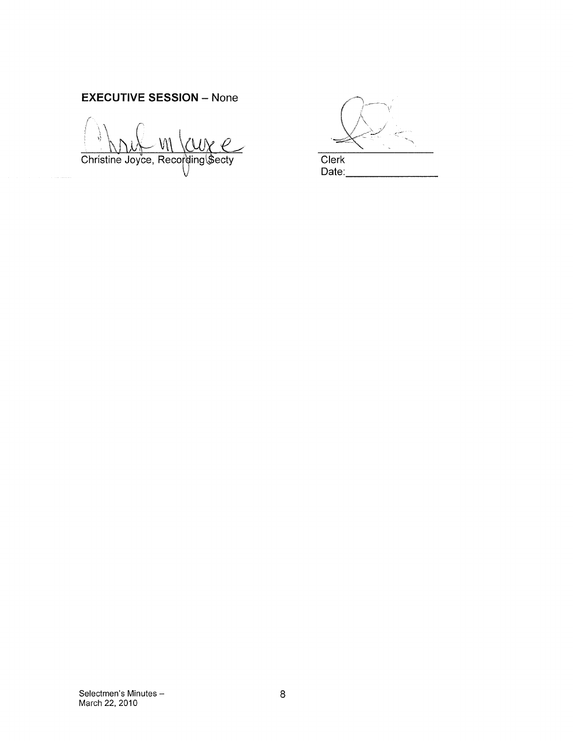# EXECUTIVE SESSION — None

Christine Joyce, Recording Secty Clerk

Date: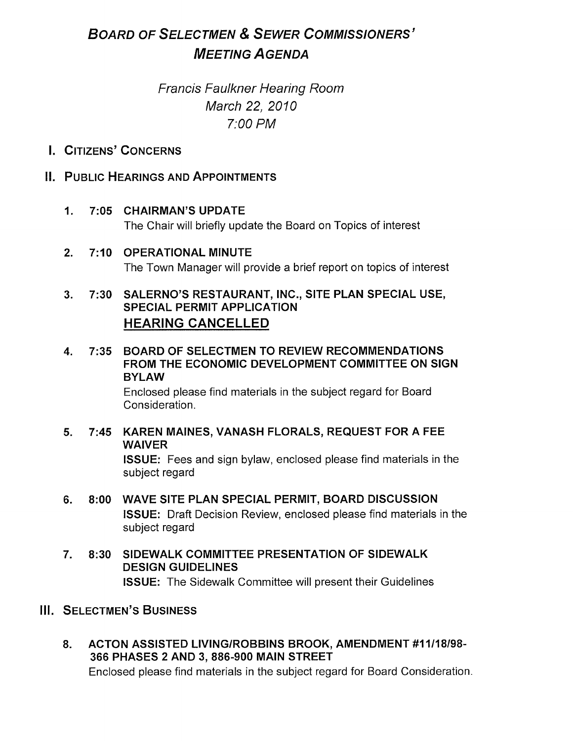# BOARD OF SELECTMEN & SEWER COMMISSIONERS' MEETING AGENDA

# Francis Faulkner Hearing Room March 22, 2010 7:00 PM

# I. CITIZENS' CONCERNS

# II. PUBLIC HEARINGS AND APPOINTMENTS

# 1. 7:05 CHAIRMAN'S UPDATE

The Chair will briefly update the Board on Topics of interest

# 2. 7:10 OPERATIONAL MINUTE The Town Manager will provide a brief report on topics of interest

# 3. 7:30 SALERNO'S RESTAURANT, INC., SITE PLAN SPECIAL USE, SPECIAL PERMIT APPLICATION HEARING CANCELLED

4. 7:35 BOARD OF SELECTMEN TO REVIEW RECOMMENDATIONS FROM THE ECONOMIC DEVELOPMENT COMMITTEE ON SIGN BYLAW

Enclosed please find materials in the subject regard for Board Consideration.

# 5. 7:45 KAREN MAINES, VANASH FLORALS, REQUEST FOR A FEE **WAIVER** ISSUE: Fees and sign bylaw, enclosed please find materials in the subject regard

- 6. 8:00 WAVE SITE PLAN SPECIAL PERMIT, BOARD DISCUSSION ISSUE: Draft Decision Review, enclosed please find materials in the subject regard
- 7. 8:30 SIDEWALK COMMITTEE PRESENTATION OF SIDEWALK DESIGN GUIDELINES ISSUE: The Sidewalk Committee will present their Guidelines

# III. SELECTMEN'S BUSINESS

8. ACTON ASSISTED LIVING/ROBBINS BROOK, AMENDMENT #11118198- 366 PHASES 2 AND 3, 886-900 MAIN STREET Enclosed please find materials in the subject regard for Board Consideration.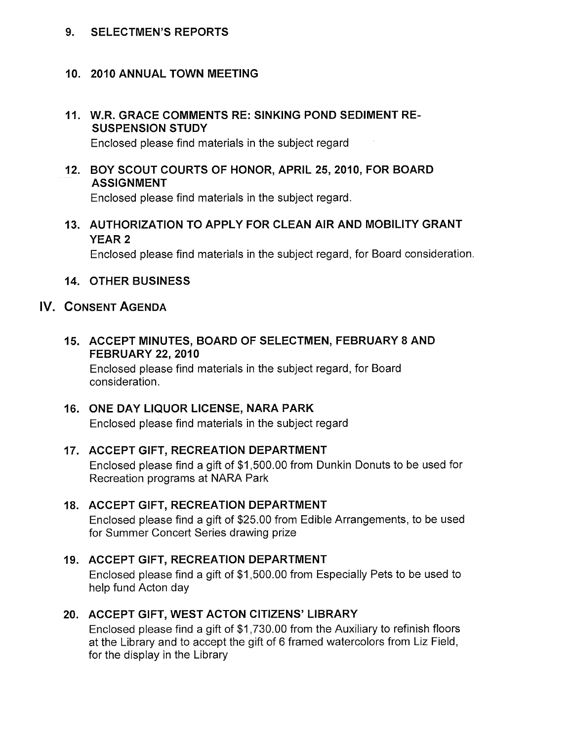## 9. SELECTMEN'S REPORTS

# 10. 2010 ANNUAL TOWN MEETING

# 11. W.R. GRACE COMMENTS RE: SINKING POND SEDIMENT RE SUSPENSION STUDY

Enclosed please find materials in the subject regard

# 12. BOY SCOUT COURTS OF HONOR, APRIL 25, 2010, FOR BOARD ASSIGNMENT

Enclosed please find materials in the subject regard.

13. AUTHORIZATION TO APPLY FOR CLEAN AIR AND MOBILITY GRANT YEAR 2

Enclosed please find materials in the subject regard, for Board consideration.

# 14. OTHER BUSINESS

# IV. CONSENT AGENDA

15. ACCEPT MINUTES, BOARD OF SELECTMEN, FEBRUARY 8 AND FEBRUARY 22, 2010

Enclosed please find materials in the subject regard, for Board consideration.

# 16. ONE DAY LIQUOR LICENSE, NARA PARK Enclosed please find materials in the subject regard

# 17. ACCEPT GIFT, RECREATION DEPARTMENT Enclosed please find a gift of \$1,500.00 from Dunkin Donuts to be used for Recreation programs at NARA Park

# 18. ACCEPT GIFT, RECREATION DEPARTMENT Enclosed please find a gift of \$25.00 from Edible Arrangements, to be used

# for Summer Concert Series drawing prize

# 19. ACCEPT GIFT, RECREATION DEPARTMENT Enclosed please find a gift of \$1,500.00 from Especially Pets to be used to help fund Acton day

# 20. ACCEPT GIFT, WEST ACTON CITIZENS' LIBRARY

Enclosed please find a gift of \$1,730.00 from the Auxiliary to refinish floors at the Library and to accept the gift of 6 framed watercolors from Liz Field, for the display in the Library